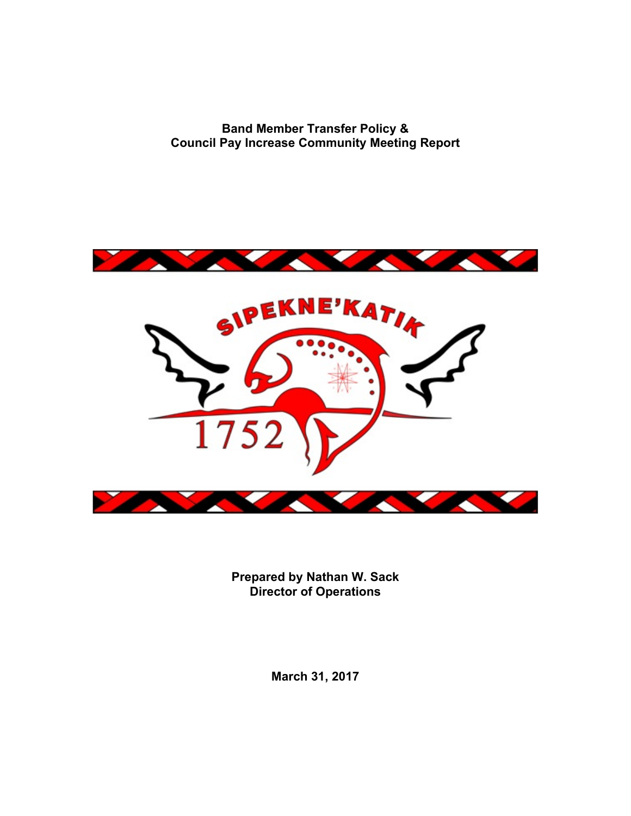**Band Member Transfer Policy & Council Pay Increase Community Meeting Report**



**Prepared by Nathan W. Sack Director of Operations**

**March 31, 2017**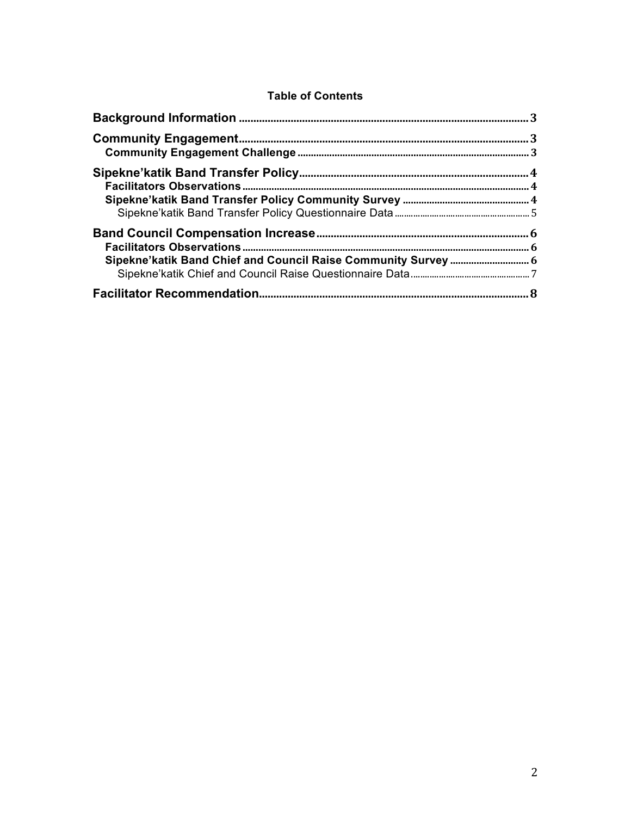## **Table of Contents**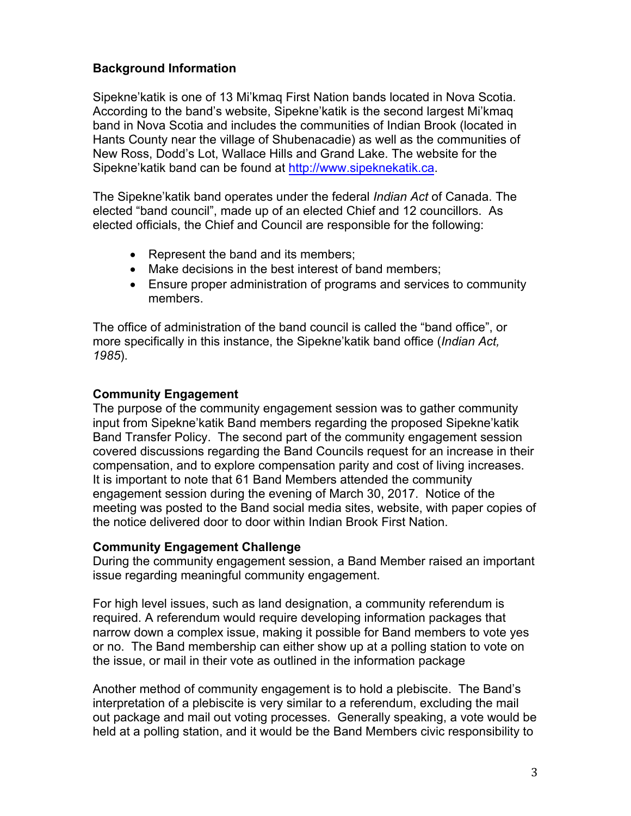## **Background Information**

Sipekne'katik is one of 13 Mi'kmaq First Nation bands located in Nova Scotia. According to the band's website, Sipekne'katik is the second largest Mi'kmaq band in Nova Scotia and includes the communities of Indian Brook (located in Hants County near the village of Shubenacadie) as well as the communities of New Ross, Dodd's Lot, Wallace Hills and Grand Lake. The website for the Sipekne'katik band can be found at http://www.sipeknekatik.ca.

The Sipekne'katik band operates under the federal *Indian Act* of Canada. The elected "band council", made up of an elected Chief and 12 councillors. As elected officials, the Chief and Council are responsible for the following:

- Represent the band and its members;
- Make decisions in the best interest of band members;
- Ensure proper administration of programs and services to community members.

The office of administration of the band council is called the "band office", or more specifically in this instance, the Sipekne'katik band office (*Indian Act, 1985*).

#### **Community Engagement**

The purpose of the community engagement session was to gather community input from Sipekne'katik Band members regarding the proposed Sipekne'katik Band Transfer Policy. The second part of the community engagement session covered discussions regarding the Band Councils request for an increase in their compensation, and to explore compensation parity and cost of living increases. It is important to note that 61 Band Members attended the community engagement session during the evening of March 30, 2017. Notice of the meeting was posted to the Band social media sites, website, with paper copies of the notice delivered door to door within Indian Brook First Nation.

#### **Community Engagement Challenge**

During the community engagement session, a Band Member raised an important issue regarding meaningful community engagement.

For high level issues, such as land designation, a community referendum is required. A referendum would require developing information packages that narrow down a complex issue, making it possible for Band members to vote yes or no. The Band membership can either show up at a polling station to vote on the issue, or mail in their vote as outlined in the information package

Another method of community engagement is to hold a plebiscite. The Band's interpretation of a plebiscite is very similar to a referendum, excluding the mail out package and mail out voting processes. Generally speaking, a vote would be held at a polling station, and it would be the Band Members civic responsibility to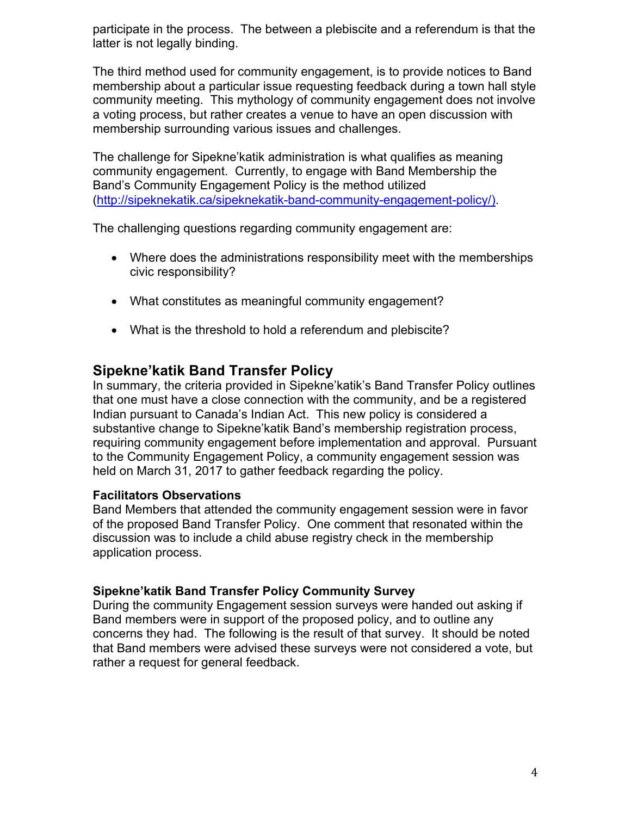participate in the process. The between a plebiscite and a referendum is that the latter is not legally binding.

The third method used for community engagement, is to provide notices to Band membership about a particular issue requesting feedback during a town hall style community meeting. This mythology of community engagement does not involve a voting process, but rather creates a venue to have an open discussion with membership surrounding various issues and challenges.

The challenge for Sipekne'katik administration is what qualifies as meaning community engagement. Currently, to engage with Band Membership the Band's Community Engagement Policy is the method utilized (http://sipeknekatik.ca/sipeknekatik-band-community-engagement-policy/).

The challenging questions regarding community engagement are:

- Where does the administrations responsibility meet with the memberships civic responsibility?
- What constitutes as meaningful community engagement?
- What is the threshold to hold a referendum and plebiscite?

## **Sipekne'katik Band Transfer Policy**

In summary, the criteria provided in Sipekne'katik's Band Transfer Policy outlines that one must have a close connection with the community, and be a registered Indian pursuant to Canada's Indian Act. This new policy is considered a substantive change to Sipekne'katik Band's membership registration process, requiring community engagement before implementation and approval. Pursuant to the Community Engagement Policy, a community engagement session was held on March 31, 2017 to gather feedback regarding the policy.

## **Facilitators Observations**

Band Members that attended the community engagement session were in favor of the proposed Band Transfer Policy. One comment that resonated within the discussion was to include a child abuse registry check in the membership application process.

## **Sipekne'katik Band Transfer Policy Community Survey**

During the community Engagement session surveys were handed out asking if Band members were in support of the proposed policy, and to outline any concerns they had. The following is the result of that survey. It should be noted that Band members were advised these surveys were not considered a vote, but rather a request for general feedback.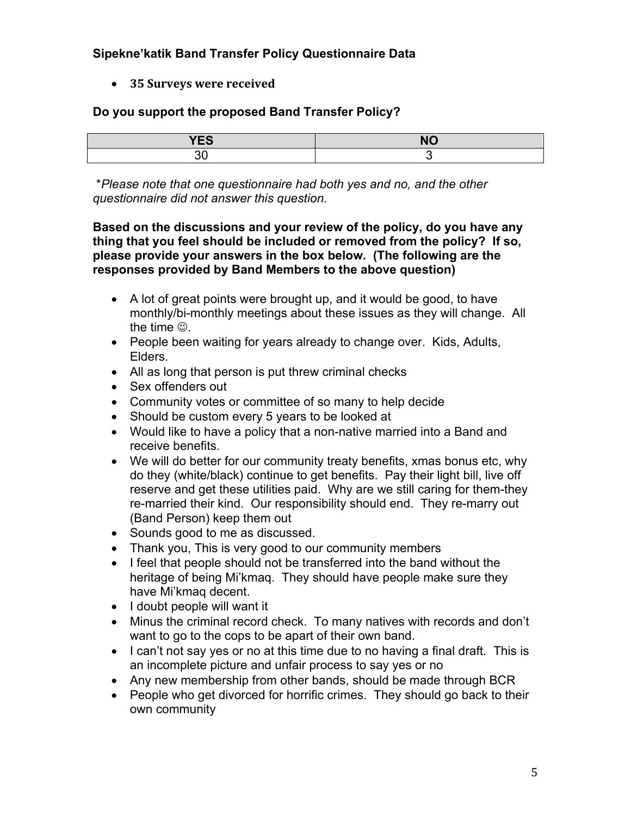## **Sipekne'katik Band Transfer Policy Questionnaire Data**

• **35 Surveys were received**

#### **Do you support the proposed Band Transfer Policy?**

| $\sqrt{2}$ | $\mathsf{N}$   |
|------------|----------------|
| ט⊐ו        | $\blacksquare$ |
| ~~         |                |

\**Please note that one questionnaire had both yes and no, and the other questionnaire did not answer this question.* 

**Based on the discussions and your review of the policy, do you have any thing that you feel should be included or removed from the policy? If so, please provide your answers in the box below. (The following are the responses provided by Band Members to the above question)**

- A lot of great points were brought up, and it would be good, to have monthly/bi-monthly meetings about these issues as they will change. All the time  $\odot$ .
- People been waiting for years already to change over. Kids, Adults, Elders.
- All as long that person is put threw criminal checks
- Sex offenders out
- Community votes or committee of so many to help decide
- Should be custom every 5 years to be looked at
- Would like to have a policy that a non-native married into a Band and receive benefits.
- We will do better for our community treaty benefits, xmas bonus etc, why do they (white/black) continue to get benefits. Pay their light bill, live off reserve and get these utilities paid. Why are we still caring for them-they re-married their kind. Our responsibility should end. They re-marry out (Band Person) keep them out
- Sounds good to me as discussed.
- Thank you, This is very good to our community members
- I feel that people should not be transferred into the band without the heritage of being Mi'kmaq. They should have people make sure they have Mi'kmaq decent.
- I doubt people will want it
- Minus the criminal record check. To many natives with records and don't want to go to the cops to be apart of their own band.
- I can't not say yes or no at this time due to no having a final draft. This is an incomplete picture and unfair process to say yes or no
- Any new membership from other bands, should be made through BCR
- People who get divorced for horrific crimes. They should go back to their own community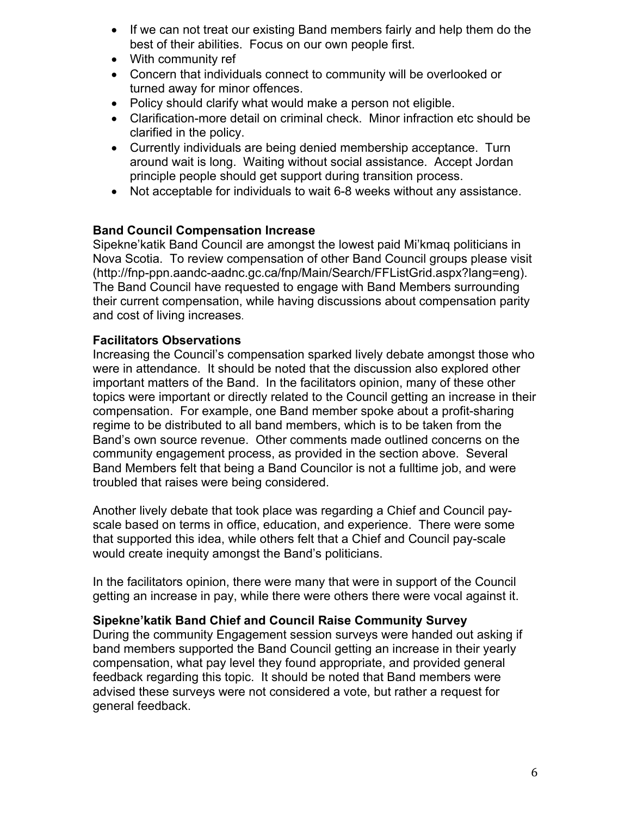- If we can not treat our existing Band members fairly and help them do the best of their abilities. Focus on our own people first.
- With community ref
- Concern that individuals connect to community will be overlooked or turned away for minor offences.
- Policy should clarify what would make a person not eligible.
- Clarification-more detail on criminal check. Minor infraction etc should be clarified in the policy.
- Currently individuals are being denied membership acceptance. Turn around wait is long. Waiting without social assistance. Accept Jordan principle people should get support during transition process.
- Not acceptable for individuals to wait 6-8 weeks without any assistance.

## **Band Council Compensation Increase**

Sipekne'katik Band Council are amongst the lowest paid Mi'kmaq politicians in Nova Scotia. To review compensation of other Band Council groups please visit (http://fnp-ppn.aandc-aadnc.gc.ca/fnp/Main/Search/FFListGrid.aspx?lang=eng). The Band Council have requested to engage with Band Members surrounding their current compensation, while having discussions about compensation parity and cost of living increases.

#### **Facilitators Observations**

Increasing the Council's compensation sparked lively debate amongst those who were in attendance. It should be noted that the discussion also explored other important matters of the Band. In the facilitators opinion, many of these other topics were important or directly related to the Council getting an increase in their compensation. For example, one Band member spoke about a profit-sharing regime to be distributed to all band members, which is to be taken from the Band's own source revenue. Other comments made outlined concerns on the community engagement process, as provided in the section above. Several Band Members felt that being a Band Councilor is not a fulltime job, and were troubled that raises were being considered.

Another lively debate that took place was regarding a Chief and Council payscale based on terms in office, education, and experience. There were some that supported this idea, while others felt that a Chief and Council pay-scale would create inequity amongst the Band's politicians.

In the facilitators opinion, there were many that were in support of the Council getting an increase in pay, while there were others there were vocal against it.

#### **Sipekne'katik Band Chief and Council Raise Community Survey**

During the community Engagement session surveys were handed out asking if band members supported the Band Council getting an increase in their yearly compensation, what pay level they found appropriate, and provided general feedback regarding this topic. It should be noted that Band members were advised these surveys were not considered a vote, but rather a request for general feedback.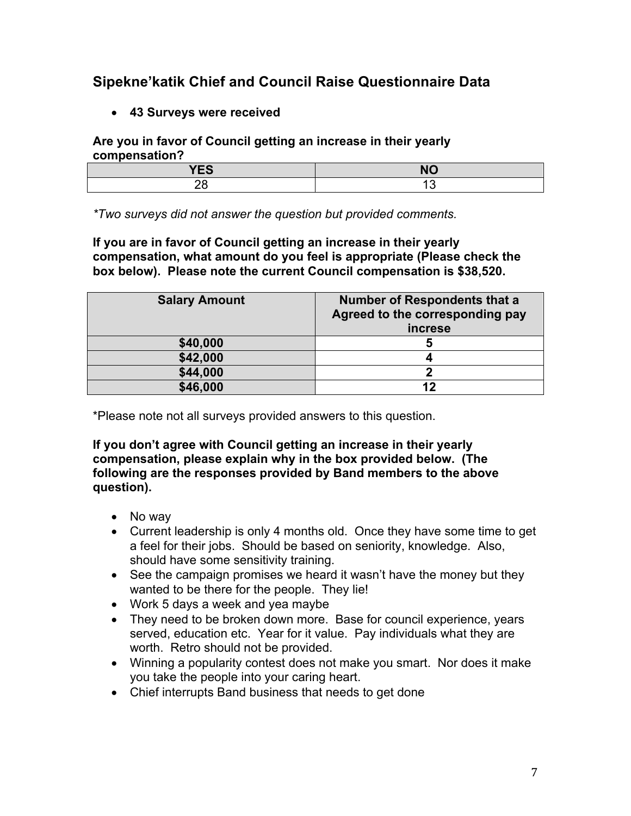# **Sipekne'katik Chief and Council Raise Questionnaire Data**

• **43 Surveys were received** 

## **Are you in favor of Council getting an increase in their yearly compensation?**

| $\mathbf{v}$<br>E | <b>NO</b> |
|-------------------|-----------|
|                   |           |

*\*Two surveys did not answer the question but provided comments.*

**If you are in favor of Council getting an increase in their yearly compensation, what amount do you feel is appropriate (Please check the box below). Please note the current Council compensation is \$38,520.**

| <b>Salary Amount</b> | <b>Number of Respondents that a</b><br>Agreed to the corresponding pay<br><i>increse</i> |
|----------------------|------------------------------------------------------------------------------------------|
| \$40,000             |                                                                                          |
| \$42,000             |                                                                                          |
| \$44,000             |                                                                                          |
| \$46,000             | 12                                                                                       |

\*Please note not all surveys provided answers to this question.

**If you don't agree with Council getting an increase in their yearly compensation, please explain why in the box provided below. (The following are the responses provided by Band members to the above question).**

- No way
- Current leadership is only 4 months old. Once they have some time to get a feel for their jobs. Should be based on seniority, knowledge. Also, should have some sensitivity training.
- See the campaign promises we heard it wasn't have the money but they wanted to be there for the people. They lie!
- Work 5 days a week and yea maybe
- They need to be broken down more. Base for council experience, years served, education etc. Year for it value. Pay individuals what they are worth. Retro should not be provided.
- Winning a popularity contest does not make you smart. Nor does it make you take the people into your caring heart.
- Chief interrupts Band business that needs to get done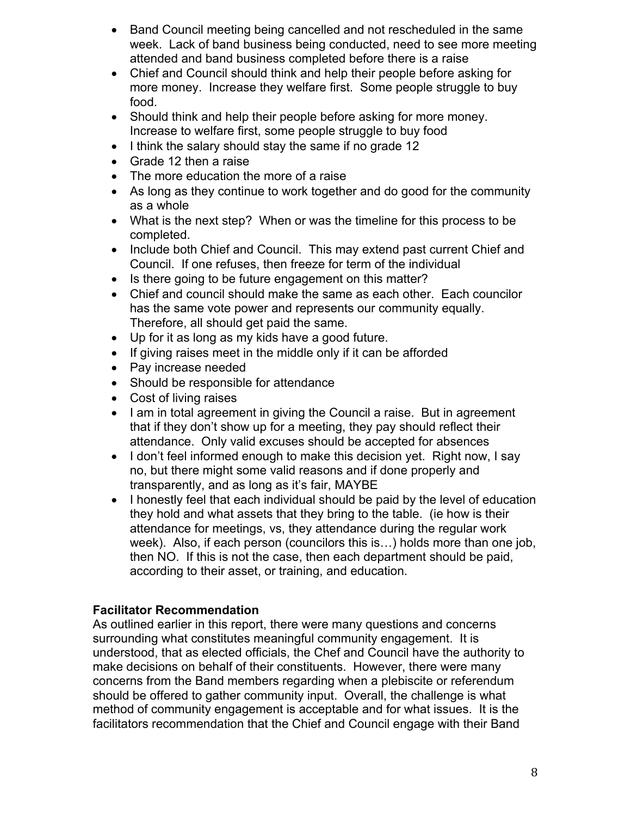- Band Council meeting being cancelled and not rescheduled in the same week. Lack of band business being conducted, need to see more meeting attended and band business completed before there is a raise
- Chief and Council should think and help their people before asking for more money. Increase they welfare first. Some people struggle to buy food.
- Should think and help their people before asking for more money. Increase to welfare first, some people struggle to buy food
- I think the salary should stay the same if no grade 12
- Grade 12 then a raise
- The more education the more of a raise
- As long as they continue to work together and do good for the community as a whole
- What is the next step? When or was the timeline for this process to be completed.
- Include both Chief and Council. This may extend past current Chief and Council. If one refuses, then freeze for term of the individual
- Is there going to be future engagement on this matter?
- Chief and council should make the same as each other. Each councilor has the same vote power and represents our community equally. Therefore, all should get paid the same.
- Up for it as long as my kids have a good future.
- If giving raises meet in the middle only if it can be afforded
- Pay increase needed
- Should be responsible for attendance
- Cost of living raises
- I am in total agreement in giving the Council a raise. But in agreement that if they don't show up for a meeting, they pay should reflect their attendance. Only valid excuses should be accepted for absences
- I don't feel informed enough to make this decision yet. Right now, I say no, but there might some valid reasons and if done properly and transparently, and as long as it's fair, MAYBE
- I honestly feel that each individual should be paid by the level of education they hold and what assets that they bring to the table. (ie how is their attendance for meetings, vs, they attendance during the regular work week). Also, if each person (councilors this is…) holds more than one job, then NO. If this is not the case, then each department should be paid, according to their asset, or training, and education.

## **Facilitator Recommendation**

As outlined earlier in this report, there were many questions and concerns surrounding what constitutes meaningful community engagement. It is understood, that as elected officials, the Chef and Council have the authority to make decisions on behalf of their constituents. However, there were many concerns from the Band members regarding when a plebiscite or referendum should be offered to gather community input. Overall, the challenge is what method of community engagement is acceptable and for what issues. It is the facilitators recommendation that the Chief and Council engage with their Band